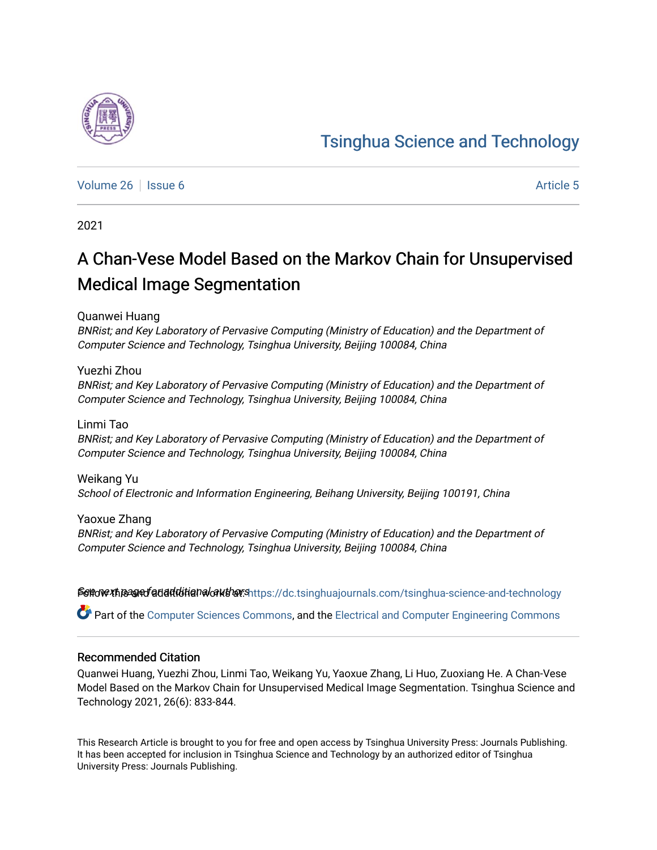# [Tsinghua Science and Technology](https://dc.tsinghuajournals.com/tsinghua-science-and-technology)

[Volume 26](https://dc.tsinghuajournals.com/tsinghua-science-and-technology/vol26) | [Issue 6](https://dc.tsinghuajournals.com/tsinghua-science-and-technology/vol26/iss6) Article 5

2021

# A Chan-Vese Model Based on the Markov Chain for Unsupervised Medical Image Segmentation

Quanwei Huang

BNRist; and Key Laboratory of Pervasive Computing (Ministry of Education) and the Department of Computer Science and Technology, Tsinghua University, Beijing 100084, China

Yuezhi Zhou BNRist; and Key Laboratory of Pervasive Computing (Ministry of Education) and the Department of Computer Science and Technology, Tsinghua University, Beijing 100084, China

Linmi Tao BNRist; and Key Laboratory of Pervasive Computing (Ministry of Education) and the Department of Computer Science and Technology, Tsinghua University, Beijing 100084, China

Weikang Yu School of Electronic and Information Engineering, Beihang University, Beijing 100191, China

Yaoxue Zhang BNRist; and Key Laboratory of Pervasive Computing (Ministry of Education) and the Department of Computer Science and Technology, Tsinghua University, Beijing 100084, China

Settow the and fatial distinguion that: https://dc.tsinghuajournals.com/tsinghua-science-and-technology

Part of the [Computer Sciences Commons](http://network.bepress.com/hgg/discipline/142?utm_source=dc.tsinghuajournals.com%2Ftsinghua-science-and-technology%2Fvol26%2Fiss6%2F5&utm_medium=PDF&utm_campaign=PDFCoverPages), and the [Electrical and Computer Engineering Commons](http://network.bepress.com/hgg/discipline/266?utm_source=dc.tsinghuajournals.com%2Ftsinghua-science-and-technology%2Fvol26%2Fiss6%2F5&utm_medium=PDF&utm_campaign=PDFCoverPages)

### Recommended Citation

Quanwei Huang, Yuezhi Zhou, Linmi Tao, Weikang Yu, Yaoxue Zhang, Li Huo, Zuoxiang He. A Chan-Vese Model Based on the Markov Chain for Unsupervised Medical Image Segmentation. Tsinghua Science and Technology 2021, 26(6): 833-844.

This Research Article is brought to you for free and open access by Tsinghua University Press: Journals Publishing. It has been accepted for inclusion in Tsinghua Science and Technology by an authorized editor of Tsinghua University Press: Journals Publishing.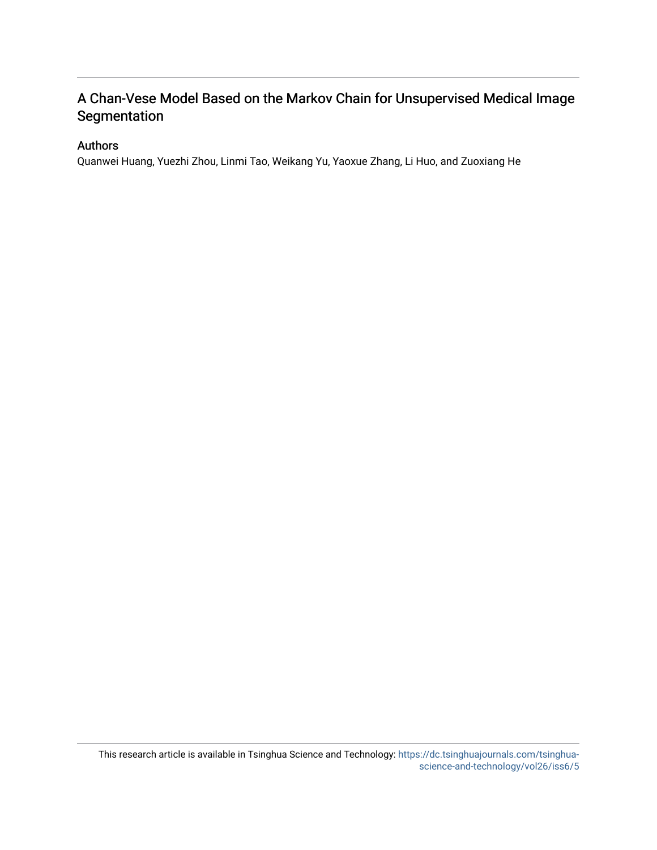# A Chan-Vese Model Based on the Markov Chain for Unsupervised Medical Image **Segmentation**

### Authors

Quanwei Huang, Yuezhi Zhou, Linmi Tao, Weikang Yu, Yaoxue Zhang, Li Huo, and Zuoxiang He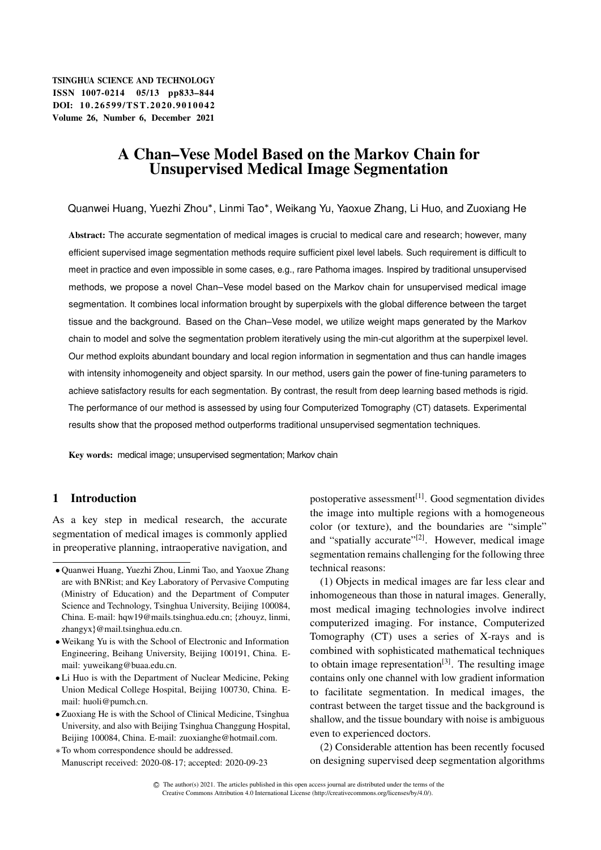TSINGHUA SCIENCE AND TECHNOLOGY ISSNll1007-0214 05/13 pp833–844 DOI: 10.26599/TST.2020.9010042 Volume 26, Number 6, December 2021

## A Chan–Vese Model Based on the Markov Chain for Unsupervised Medical Image Segmentation

Quanwei Huang, Yuezhi Zhou\*, Linmi Tao\*, Weikang Yu, Yaoxue Zhang, Li Huo, and Zuoxiang He

Abstract: The accurate segmentation of medical images is crucial to medical care and research; however, many efficient supervised image segmentation methods require sufficient pixel level labels. Such requirement is difficult to meet in practice and even impossible in some cases, e.g., rare Pathoma images. Inspired by traditional unsupervised methods, we propose a novel Chan–Vese model based on the Markov chain for unsupervised medical image segmentation. It combines local information brought by superpixels with the global difference between the target tissue and the background. Based on the Chan–Vese model, we utilize weight maps generated by the Markov chain to model and solve the segmentation problem iteratively using the min-cut algorithm at the superpixel level. Our method exploits abundant boundary and local region information in segmentation and thus can handle images with intensity inhomogeneity and object sparsity. In our method, users gain the power of fine-tuning parameters to achieve satisfactory results for each segmentation. By contrast, the result from deep learning based methods is rigid. The performance of our method is assessed by using four Computerized Tomography (CT) datasets. Experimental results show that the proposed method outperforms traditional unsupervised segmentation techniques.

Key words: medical image; unsupervised segmentation; Markov chain

#### 1 Introduction

As a key step in medical research, the accurate segmentation of medical images is commonly applied in preoperative planning, intraoperative navigation, and

- Weikang Yu is with the School of Electronic and Information Engineering, Beihang University, Beijing 100191, China. Email: yuweikang@buaa.edu.cn.
- Li Huo is with the Department of Nuclear Medicine, Peking Union Medical College Hospital, Beijing 100730, China. Email: huoli@pumch.cn.
- Zuoxiang He is with the School of Clinical Medicine, Tsinghua University, and also with Beijing Tsinghua Changgung Hospital, Beijing 100084, China. E-mail: zuoxianghe@hotmail.com.
- To whom correspondence should be addressed. Manuscript received: 2020-08-17; accepted: 2020-09-23

postoperative assessment<sup>[1]</sup>. Good segmentation divides the image into multiple regions with a homogeneous color (or texture), and the boundaries are "simple" and "spatially accurate"<sup>[2]</sup>. However, medical image segmentation remains challenging for the following three technical reasons:

(1) Objects in medical images are far less clear and inhomogeneous than those in natural images. Generally, most medical imaging technologies involve indirect computerized imaging. For instance, Computerized Tomography (CT) uses a series of X-rays and is combined with sophisticated mathematical techniques to obtain image representation<sup>[3]</sup>. The resulting image contains only one channel with low gradient information to facilitate segmentation. In medical images, the contrast between the target tissue and the background is shallow, and the tissue boundary with noise is ambiguous even to experienced doctors.

(2) Considerable attention has been recently focused on designing supervised deep segmentation algorithms

Quanwei Huang, Yuezhi Zhou, Linmi Tao, and Yaoxue Zhang are with BNRist; and Key Laboratory of Pervasive Computing (Ministry of Education) and the Department of Computer Science and Technology, Tsinghua University, Beijing 100084, China. E-mail: hqw19@mails.tsinghua.edu.cn; fzhouyz, linmi, zhangyx}@mail.tsinghua.edu.cn.

C The author(s) 2021. The articles published in this open access journal are distributed under the terms of the Creative Commons Attribution 4.0 International License (http://creativecommons.org/licenses/by/4.0/).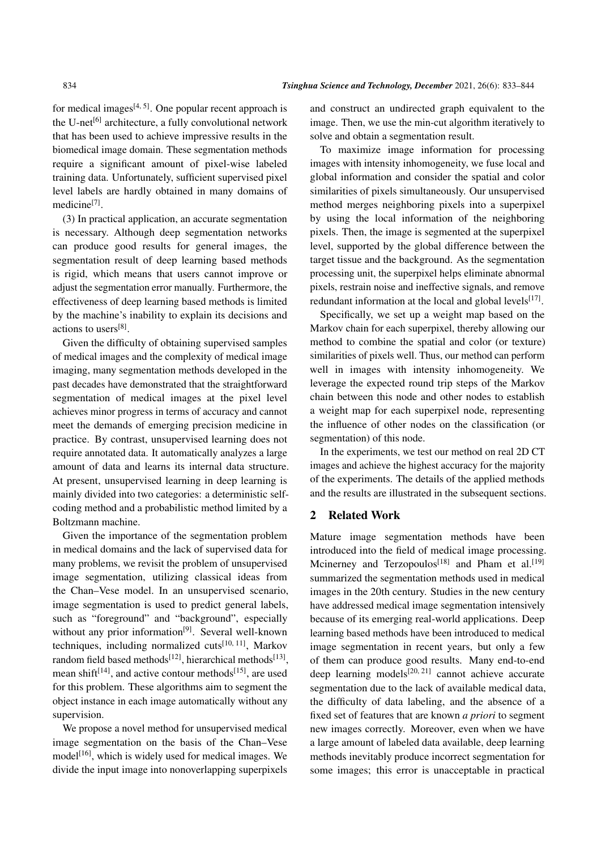for medical images $[4, 5]$ . One popular recent approach is the U-net<sup>[6]</sup> architecture, a fully convolutional network that has been used to achieve impressive results in the biomedical image domain. These segmentation methods require a significant amount of pixel-wise labeled training data. Unfortunately, sufficient supervised pixel level labels are hardly obtained in many domains of medicine<sup>[7]</sup>.

(3) In practical application, an accurate segmentation is necessary. Although deep segmentation networks can produce good results for general images, the segmentation result of deep learning based methods is rigid, which means that users cannot improve or adjust the segmentation error manually. Furthermore, the effectiveness of deep learning based methods is limited by the machine's inability to explain its decisions and actions to users<sup>[8]</sup>.

Given the difficulty of obtaining supervised samples of medical images and the complexity of medical image imaging, many segmentation methods developed in the past decades have demonstrated that the straightforward segmentation of medical images at the pixel level achieves minor progress in terms of accuracy and cannot meet the demands of emerging precision medicine in practice. By contrast, unsupervised learning does not require annotated data. It automatically analyzes a large amount of data and learns its internal data structure. At present, unsupervised learning in deep learning is mainly divided into two categories: a deterministic selfcoding method and a probabilistic method limited by a Boltzmann machine.

Given the importance of the segmentation problem in medical domains and the lack of supervised data for many problems, we revisit the problem of unsupervised image segmentation, utilizing classical ideas from the Chan–Vese model. In an unsupervised scenario, image segmentation is used to predict general labels, such as "foreground" and "background", especially without any prior information<sup>[9]</sup>. Several well-known techniques, including normalized cuts<sup>[10, 11]</sup>, Markov random field based methods<sup>[12]</sup>, hierarchical methods<sup>[13]</sup>, mean shift<sup>[14]</sup>, and active contour methods<sup>[15]</sup>, are used for this problem. These algorithms aim to segment the object instance in each image automatically without any supervision.

We propose a novel method for unsupervised medical image segmentation on the basis of the Chan–Vese  $model<sup>[16]</sup>$ , which is widely used for medical images. We divide the input image into nonoverlapping superpixels and construct an undirected graph equivalent to the image. Then, we use the min-cut algorithm iteratively to solve and obtain a segmentation result.

To maximize image information for processing images with intensity inhomogeneity, we fuse local and global information and consider the spatial and color similarities of pixels simultaneously. Our unsupervised method merges neighboring pixels into a superpixel by using the local information of the neighboring pixels. Then, the image is segmented at the superpixel level, supported by the global difference between the target tissue and the background. As the segmentation processing unit, the superpixel helps eliminate abnormal pixels, restrain noise and ineffective signals, and remove redundant information at the local and global levels<sup>[17]</sup>.

Specifically, we set up a weight map based on the Markov chain for each superpixel, thereby allowing our method to combine the spatial and color (or texture) similarities of pixels well. Thus, our method can perform well in images with intensity inhomogeneity. We leverage the expected round trip steps of the Markov chain between this node and other nodes to establish a weight map for each superpixel node, representing the influence of other nodes on the classification (or segmentation) of this node.

In the experiments, we test our method on real 2D CT images and achieve the highest accuracy for the majority of the experiments. The details of the applied methods and the results are illustrated in the subsequent sections.

#### 2 Related Work

Mature image segmentation methods have been introduced into the field of medical image processing. Mcinerney and Terzopoulos<sup>[18]</sup> and Pham et al.<sup>[19]</sup> summarized the segmentation methods used in medical images in the 20th century. Studies in the new century have addressed medical image segmentation intensively because of its emerging real-world applications. Deep learning based methods have been introduced to medical image segmentation in recent years, but only a few of them can produce good results. Many end-to-end deep learning models<sup>[20, 21]</sup> cannot achieve accurate segmentation due to the lack of available medical data, the difficulty of data labeling, and the absence of a fixed set of features that are known *a priori* to segment new images correctly. Moreover, even when we have a large amount of labeled data available, deep learning methods inevitably produce incorrect segmentation for some images; this error is unacceptable in practical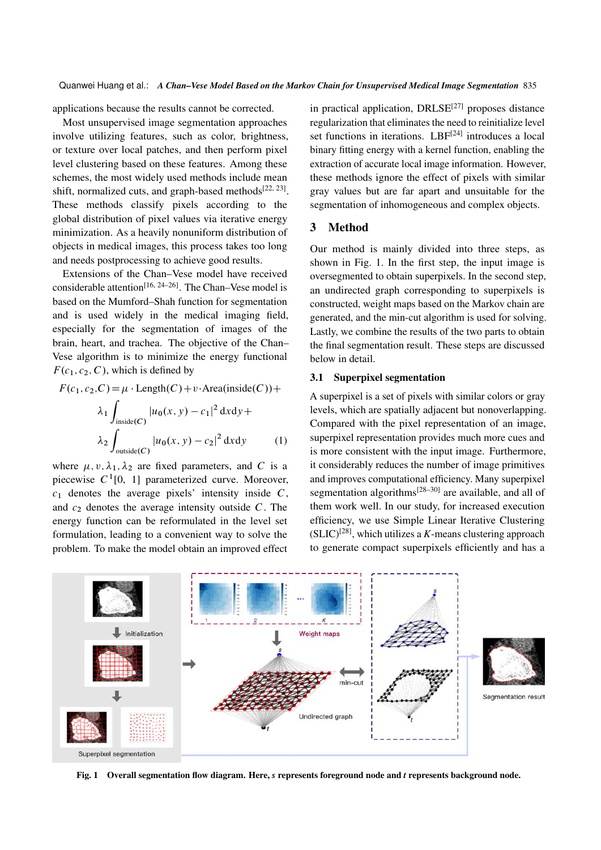applications because the results cannot be corrected.

Most unsupervised image segmentation approaches involve utilizing features, such as color, brightness, or texture over local patches, and then perform pixel level clustering based on these features. Among these schemes, the most widely used methods include mean shift, normalized cuts, and graph-based methods $[22, 23]$ . These methods classify pixels according to the global distribution of pixel values via iterative energy minimization. As a heavily nonuniform distribution of objects in medical images, this process takes too long and needs postprocessing to achieve good results.

Extensions of the Chan–Vese model have received considerable attention<sup>[16, 24–26]</sup>. The Chan–Vese model is based on the Mumford–Shah function for segmentation and is used widely in the medical imaging field, especially for the segmentation of images of the brain, heart, and trachea. The objective of the Chan– Vese algorithm is to minimize the energy functional  $F(c_1, c_2, C)$ , which is defined by

$$
F(c_1, c_2, C) = \mu \cdot \text{Length}(C) + v \cdot \text{Area}(\text{inside}(C)) +
$$

$$
\lambda_1 \int_{\text{inside}(C)} |u_0(x, y) - c_1|^2 \, dx \, dy +
$$

$$
\lambda_2 \int_{\text{outside}(C)} |u_0(x, y) - c_2|^2 \, dx \, dy \tag{1}
$$

where  $\mu$ ,  $v$ ,  $\lambda_1$ ,  $\lambda_2$  are fixed parameters, and C is a piecewise  $C^1[0, 1]$  parameterized curve. Moreover,  $c_1$  denotes the average pixels' intensity inside  $C$ , and  $c_2$  denotes the average intensity outside  $C$ . The energy function can be reformulated in the level set formulation, leading to a convenient way to solve the problem. To make the model obtain an improved effect

in practical application,  $DRLSE^{[27]}$  proposes distance regularization that eliminates the need to reinitialize level set functions in iterations. LBF<sup>[24]</sup> introduces a local binary fitting energy with a kernel function, enabling the extraction of accurate local image information. However, these methods ignore the effect of pixels with similar gray values but are far apart and unsuitable for the segmentation of inhomogeneous and complex objects.

### 3 Method

Our method is mainly divided into three steps, as shown in Fig. 1. In the first step, the input image is oversegmented to obtain superpixels. In the second step, an undirected graph corresponding to superpixels is constructed, weight maps based on the Markov chain are generated, and the min-cut algorithm is used for solving. Lastly, we combine the results of the two parts to obtain the final segmentation result. These steps are discussed below in detail.

#### 3.1 Superpixel segmentation

A superpixel is a set of pixels with similar colors or gray levels, which are spatially adjacent but nonoverlapping. Compared with the pixel representation of an image, superpixel representation provides much more cues and is more consistent with the input image. Furthermore, it considerably reduces the number of image primitives and improves computational efficiency. Many superpixel segmentation algorithms<sup>[28–30]</sup> are available, and all of them work well. In our study, for increased execution efficiency, we use Simple Linear Iterative Clustering  $(SLIC)^{[28]}$ , which utilizes a *K*-means clustering approach to generate compact superpixels efficiently and has a



Fig. 1 Overall segmentation flow diagram. Here, *s* represents foreground node and *t* represents background node.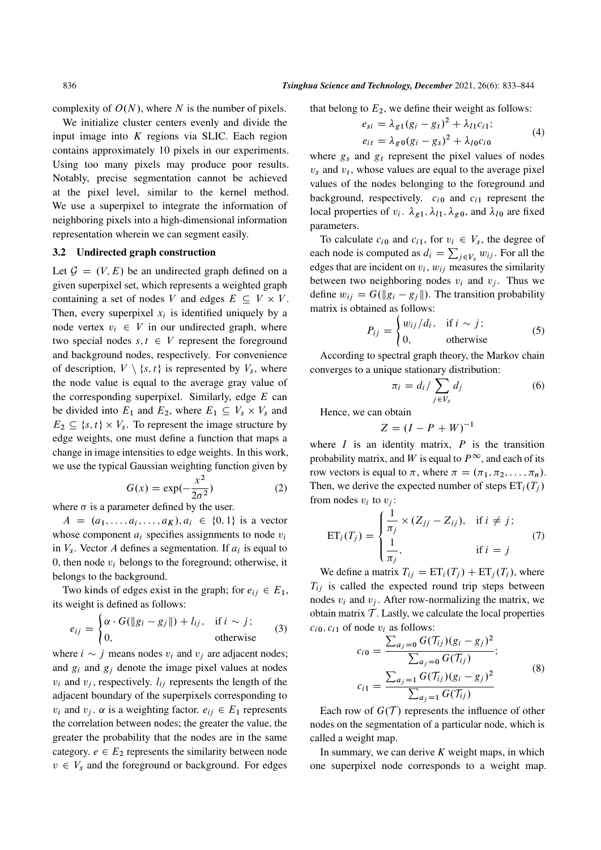complexity of  $O(N)$ , where N is the number of pixels.

We initialize cluster centers evenly and divide the input image into  $K$  regions via SLIC. Each region contains approximately 10 pixels in our experiments. Using too many pixels may produce poor results. Notably, precise segmentation cannot be achieved at the pixel level, similar to the kernel method. We use a superpixel to integrate the information of neighboring pixels into a high-dimensional information representation wherein we can segment easily.

#### 3.2 Undirected graph construction

Let  $\mathcal{G} = (V, E)$  be an undirected graph defined on a given superpixel set, which represents a weighted graph containing a set of nodes V and edges  $E \subseteq V \times V$ . Then, every superpixel  $x_i$  is identified uniquely by a node vertex  $v_i \in V$  in our undirected graph, where two special nodes  $s, t \in V$  represent the foreground and background nodes, respectively. For convenience of description,  $V \setminus \{s, t\}$  is represented by  $V_s$ , where the node value is equal to the average gray value of the corresponding superpixel. Similarly, edge  $E$  can be divided into  $E_1$  and  $E_2$ , where  $E_1 \subseteq V_s \times V_s$  and  $E_2 \subseteq \{s, t\} \times V_s$ . To represent the image structure by edge weights, one must define a function that maps a change in image intensities to edge weights. In this work, we use the typical Gaussian weighting function given by

$$
G(x) = \exp(-\frac{x^2}{2\sigma^2})
$$
 (2)

where  $\sigma$  is a parameter defined by the user.

 $A = (a_1, \ldots, a_i, \ldots, a_K), a_i \in \{0, 1\}$  is a vector whose component  $a_i$  specifies assignments to node  $v_i$ in  $V_s$ . Vector A defines a segmentation. If  $a_i$  is equal to 0, then node  $v_i$  belongs to the foreground; otherwise, it belongs to the background.

Two kinds of edges exist in the graph; for  $e_{ij} \in E_1$ , its weight is defined as follows:

$$
e_{ij} = \begin{cases} \alpha \cdot G(\|g_i - g_j\|) + l_{ij}, & \text{if } i \sim j; \\ 0, & \text{otherwise} \end{cases}
$$
 (3)

where  $i \sim j$  means nodes  $v_i$  and  $v_j$  are adjacent nodes; and  $g_i$  and  $g_j$  denote the image pixel values at nodes  $v_i$  and  $v_i$ , respectively.  $l_{ij}$  represents the length of the adjacent boundary of the superpixels corresponding to  $v_i$  and  $v_j$ .  $\alpha$  is a weighting factor.  $e_{ij} \in E_1$  represents the correlation between nodes; the greater the value, the greater the probability that the nodes are in the same category.  $e \in E_2$  represents the similarity between node  $v \in V_s$  and the foreground or background. For edges that belong to  $E_2$ , we define their weight as follows:

$$
e_{si} = \lambda_{g1}(g_i - g_t)^2 + \lambda_{l1}c_{i1};
$$
  
\n
$$
e_{it} = \lambda_{g0}(g_i - g_s)^2 + \lambda_{l0}c_{i0}
$$
 (4)

where  $g_s$  and  $g_t$  represent the pixel values of nodes  $v_s$  and  $v_t$ , whose values are equal to the average pixel values of the nodes belonging to the foreground and background, respectively.  $c_{i0}$  and  $c_{i1}$  represent the local properties of  $v_i$ .  $\lambda_{g1}$ ,  $\lambda_{l1}$ ,  $\lambda_{g0}$ , and  $\lambda_{l0}$  are fixed parameters.

To calculate  $c_{i0}$  and  $c_{i1}$ , for  $v_i \in V_s$ , the degree of each node is computed as  $d_i = \sum_{j \in V_s} w_{ij}$ . For all the edges that are incident on  $v_i$ ,  $w_{ij}$  measures the similarity between two neighboring nodes  $v_i$  and  $v_j$ . Thus we define  $w_{ij} = G(||g_i - g_j||)$ . The transition probability matrix is obtained as follows:

$$
P_{ij} = \begin{cases} w_{ij}/d_i, & \text{if } i \sim j; \\ 0, & \text{otherwise} \end{cases}
$$
 (5)

According to spectral graph theory, the Markov chain converges to a unique stationary distribution:

$$
\pi_i = d_i / \sum_{j \in V_s} d_j \tag{6}
$$

Hence, we can obtain

$$
Z = (I - P + W)^{-1}
$$

where  $I$  is an identity matrix,  $P$  is the transition probability matrix, and W is equal to  $P^{\infty}$ , and each of its row vectors is equal to  $\pi$ , where  $\pi = (\pi_1, \pi_2, \ldots, \pi_n)$ . Then, we derive the expected number of steps  $ET_i(T_i)$ from nodes  $v_i$  to  $v_j$ :

$$
ET_i(T_j) = \begin{cases} \frac{1}{\pi_j} \times (Z_{jj} - Z_{ij}), & \text{if } i \neq j; \\ \frac{1}{\pi_j}, & \text{if } i = j \end{cases}
$$
(7)

We define a matrix  $T_{ij} = ET_i(T_j) + ET_j(T_i)$ , where  $T_{ij}$  is called the expected round trip steps between nodes  $v_i$  and  $v_j$ . After row-normalizing the matrix, we obtain matrix  $T$ . Lastly, we calculate the local properties  $c_{i0}, c_{i1}$  of node  $v_i$  as follows:

$$
c_{i0} = \frac{\sum_{a_j=0} G(\mathcal{T}_{ij})(g_i - g_j)^2}{\sum_{a_j=0} G(\mathcal{T}_{ij})};
$$
  

$$
c_{i1} = \frac{\sum_{a_j=1} G(\mathcal{T}_{ij})(g_i - g_j)^2}{\sum_{a_j=1} G(\mathcal{T}_{ij})}
$$
 (8)

Each row of  $G(\mathcal{T})$  represents the influence of other nodes on the segmentation of a particular node, which is called a weight map.

In summary, we can derive *K* weight maps, in which one superpixel node corresponds to a weight map.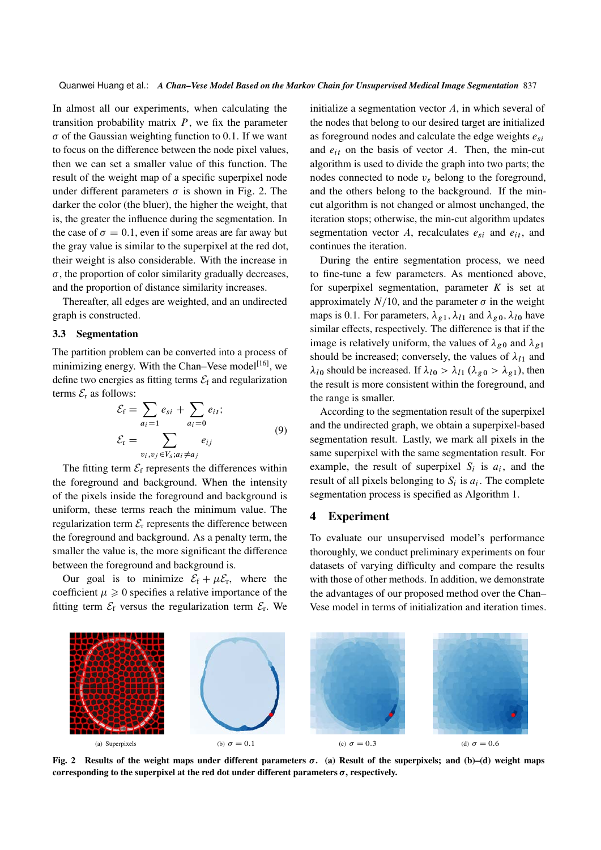In almost all our experiments, when calculating the transition probability matrix  $P$ , we fix the parameter  $\sigma$  of the Gaussian weighting function to 0.1. If we want to focus on the difference between the node pixel values, then we can set a smaller value of this function. The result of the weight map of a specific superpixel node under different parameters  $\sigma$  is shown in Fig. 2. The darker the color (the bluer), the higher the weight, that is, the greater the influence during the segmentation. In the case of  $\sigma = 0.1$ , even if some areas are far away but the gray value is similar to the superpixel at the red dot, their weight is also considerable. With the increase in  $\sigma$ , the proportion of color similarity gradually decreases, and the proportion of distance similarity increases.

Thereafter, all edges are weighted, and an undirected graph is constructed.

#### 3.3 Segmentation

The partition problem can be converted into a process of minimizing energy. With the Chan–Vese model<sup>[16]</sup>, we define two energies as fitting terms  $\mathcal{E}_f$  and regularization terms  $\mathcal{E}_r$  as follows:

$$
\mathcal{E}_{\rm f} = \sum_{a_i=1} e_{si} + \sum_{a_i=0} e_{it};
$$
\n
$$
\mathcal{E}_{\rm r} = \sum_{v_i, v_j \in V_s; a_i \neq a_j} e_{ij}
$$
\n(9)

The fitting term  $\mathcal{E}_f$  represents the differences within the foreground and background. When the intensity of the pixels inside the foreground and background is uniform, these terms reach the minimum value. The regularization term  $\mathcal{E}_r$  represents the difference between the foreground and background. As a penalty term, the smaller the value is, the more significant the difference between the foreground and background is.

Our goal is to minimize  $\mathcal{E}_f + \mu \mathcal{E}_r$ , where the coefficient  $\mu \geq 0$  specifies a relative importance of the fitting term  $\mathcal{E}_f$  versus the regularization term  $\mathcal{E}_r$ . We

initialize a segmentation vector  $A$ , in which several of the nodes that belong to our desired target are initialized as foreground nodes and calculate the edge weights  $e_{si}$ and  $e_{it}$  on the basis of vector A. Then, the min-cut algorithm is used to divide the graph into two parts; the nodes connected to node  $v_s$  belong to the foreground, and the others belong to the background. If the mincut algorithm is not changed or almost unchanged, the iteration stops; otherwise, the min-cut algorithm updates segmentation vector A, recalculates  $e_{si}$  and  $e_{it}$ , and continues the iteration.

During the entire segmentation process, we need to fine-tune a few parameters. As mentioned above, for superpixel segmentation, parameter *K* is set at approximately  $N/10$ , and the parameter  $\sigma$  in the weight maps is 0.1. For parameters,  $\lambda_{g1}$ ,  $\lambda_{l1}$  and  $\lambda_{g0}$ ,  $\lambda_{l0}$  have similar effects, respectively. The difference is that if the image is relatively uniform, the values of  $\lambda_{g0}$  and  $\lambda_{g1}$ should be increased; conversely, the values of  $\lambda_{11}$  and  $\lambda_{l0}$  should be increased. If  $\lambda_{l0} > \lambda_{l1}$  ( $\lambda_{g0} > \lambda_{g1}$ ), then the result is more consistent within the foreground, and the range is smaller.

According to the segmentation result of the superpixel and the undirected graph, we obtain a superpixel-based segmentation result. Lastly, we mark all pixels in the same superpixel with the same segmentation result. For example, the result of superpixel  $S_i$  is  $a_i$ , and the result of all pixels belonging to  $S_i$  is  $a_i$ . The complete segmentation process is specified as Algorithm 1.

#### 4 Experiment

To evaluate our unsupervised model's performance thoroughly, we conduct preliminary experiments on four datasets of varying difficulty and compare the results with those of other methods. In addition, we demonstrate the advantages of our proposed method over the Chan– Vese model in terms of initialization and iteration times.



Fig. 2 Results of the weight maps under different parameters  $\sigma$ . (a) Result of the superpixels; and (b)–(d) weight maps corresponding to the superpixel at the red dot under different parameters  $\sigma$ , respectively.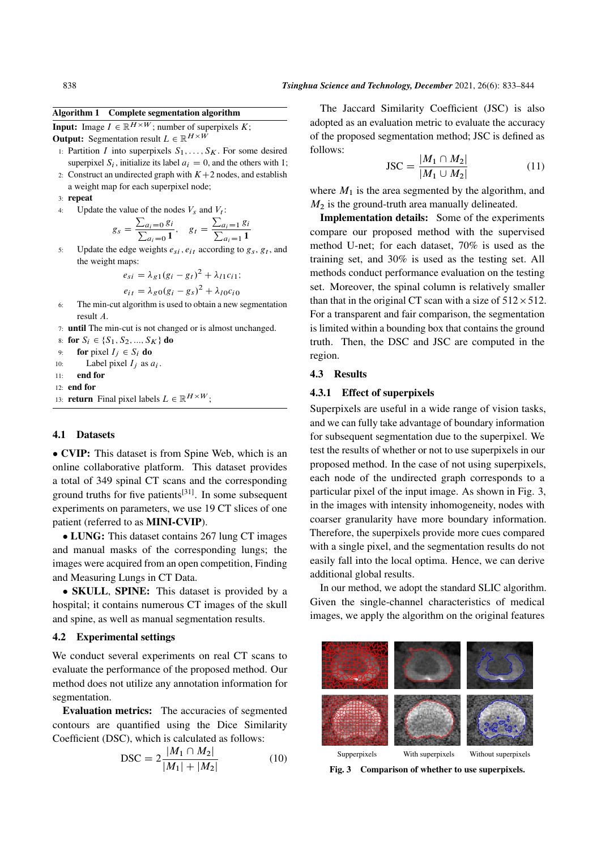#### Algorithm 1 Complete segmentation algorithm

**Input:** Image  $I \in \mathbb{R}^{H \times W}$ ; number of superpixels K;

**Output:** Segmentation result  $L \in \mathbb{R}^{H \times W}$ 

- 1: Partition I into superpixels  $S_1, \ldots, S_K$ . For some desired superpixel  $S_i$ , initialize its label  $a_i = 0$ , and the others with 1; 2: Construct an undirected graph with  $K+2$  nodes, and establish
- a weight map for each superpixel node;

3: repeat

4: Update the value of the nodes  $V_s$  and  $V_t$ :

$$
g_s = \frac{\sum_{a_i=0} g_i}{\sum_{a_i=0} 1}, \quad g_t = \frac{\sum_{a_i=1} g_i}{\sum_{a_i=1} 1}
$$

5: Update the edge weights  $e_{si}$ ,  $e_{it}$  according to  $g_s$ ,  $g_t$ , and the weight maps:

$$
e_{si} = \lambda_{g1}(g_i - g_t)^2 + \lambda_{I1}c_{i1};
$$
  

$$
e_{it} = \lambda_{g0}(g_i - g_s)^2 + \lambda_{I0}c_{i0}
$$

- 6: The min-cut algorithm is used to obtain a new segmentation result A.
- 7: until The min-cut is not changed or is almost unchanged.

8: for  $S_i \in \{S_1, S_2, ..., S_K\}$  do

9: for pixel  $I_i \in S_i$  do

10: Label pixel  $I_j$  as  $a_i$ .

11: end for

12: end for

13: **return** Final pixel labels  $L \in \mathbb{R}^{H \times W}$ ;

#### 4.1 Datasets

 CVIP: This dataset is from Spine Web, which is an online collaborative platform. This dataset provides a total of 349 spinal CT scans and the corresponding ground truths for five patients<sup>[31]</sup>. In some subsequent experiments on parameters, we use 19 CT slices of one patient (referred to as MINI-CVIP).

• LUNG: This dataset contains 267 lung CT images and manual masks of the corresponding lungs; the images were acquired from an open competition, Finding and Measuring Lungs in CT Data.

• SKULL, SPINE: This dataset is provided by a hospital; it contains numerous CT images of the skull and spine, as well as manual segmentation results.

#### 4.2 Experimental settings

We conduct several experiments on real CT scans to evaluate the performance of the proposed method. Our method does not utilize any annotation information for segmentation.

Evaluation metrics: The accuracies of segmented contours are quantified using the Dice Similarity Coefficient (DSC), which is calculated as follows:

DSC = 
$$
2\frac{|M_1 \cap M_2|}{|M_1| + |M_2|}
$$
 (10)

The Jaccard Similarity Coefficient (JSC) is also adopted as an evaluation metric to evaluate the accuracy of the proposed segmentation method; JSC is defined as follows:

$$
JSC = \frac{|M_1 \cap M_2|}{|M_1 \cup M_2|}
$$
 (11)

where  $M_1$  is the area segmented by the algorithm, and  $M<sub>2</sub>$  is the ground-truth area manually delineated.

Implementation details: Some of the experiments compare our proposed method with the supervised method U-net; for each dataset, 70% is used as the training set, and 30% is used as the testing set. All methods conduct performance evaluation on the testing set. Moreover, the spinal column is relatively smaller than that in the original CT scan with a size of  $512 \times 512$ . For a transparent and fair comparison, the segmentation is limited within a bounding box that contains the ground truth. Then, the DSC and JSC are computed in the region.

#### 4.3 Results

#### 4.3.1 Effect of superpixels

Superpixels are useful in a wide range of vision tasks, and we can fully take advantage of boundary information for subsequent segmentation due to the superpixel. We test the results of whether or not to use superpixels in our proposed method. In the case of not using superpixels, each node of the undirected graph corresponds to a particular pixel of the input image. As shown in Fig. 3, in the images with intensity inhomogeneity, nodes with coarser granularity have more boundary information. Therefore, the superpixels provide more cues compared with a single pixel, and the segmentation results do not easily fall into the local optima. Hence, we can derive additional global results.

In our method, we adopt the standard SLIC algorithm. Given the single-channel characteristics of medical images, we apply the algorithm on the original features



Fig. 3 Comparison of whether to use superpixels.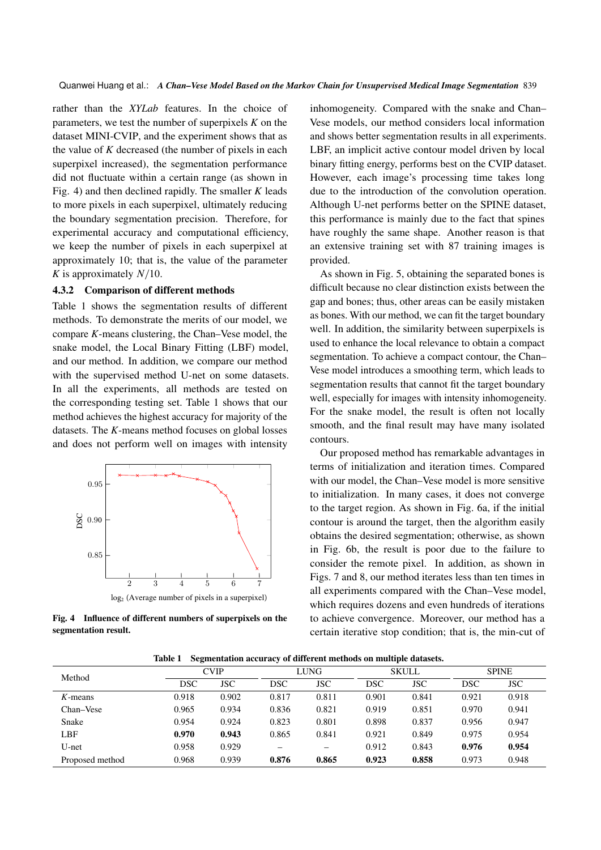rather than the *XYLab* features. In the choice of parameters, we test the number of superpixels *K* on the dataset MINI-CVIP, and the experiment shows that as the value of *K* decreased (the number of pixels in each superpixel increased), the segmentation performance did not fluctuate within a certain range (as shown in Fig. 4) and then declined rapidly. The smaller *K* leads to more pixels in each superpixel, ultimately reducing the boundary segmentation precision. Therefore, for experimental accuracy and computational efficiency, we keep the number of pixels in each superpixel at approximately 10; that is, the value of the parameter *K* is approximately  $N/10$ .

#### 4.3.2 Comparison of different methods

Table 1 shows the segmentation results of different methods. To demonstrate the merits of our model, we compare *K*-means clustering, the Chan–Vese model, the snake model, the Local Binary Fitting (LBF) model, and our method. In addition, we compare our method with the supervised method U-net on some datasets. In all the experiments, all methods are tested on the corresponding testing set. Table 1 shows that our method achieves the highest accuracy for majority of the datasets. The *K*-means method focuses on global losses and does not perform well on images with intensity



 $\mathcal{F}$  Influence of different numbers of superpixels on the  $\mathcal{F}$ Fig. 4 Influence of different numbers of superpixels on the segmentation result.

inhomogeneity. Compared with the snake and Chan– Vese models, our method considers local information and shows better segmentation results in all experiments. LBF, an implicit active contour model driven by local binary fitting energy, performs best on the CVIP dataset. However, each image's processing time takes long due to the introduction of the convolution operation. Although U-net performs better on the SPINE dataset, this performance is mainly due to the fact that spines have roughly the same shape. Another reason is that an extensive training set with 87 training images is provided.

As shown in Fig. 5, obtaining the separated bones is difficult because no clear distinction exists between the gap and bones; thus, other areas can be easily mistaken as bones. With our method, we can fit the target boundary well. In addition, the similarity between superpixels is used to enhance the local relevance to obtain a compact segmentation. To achieve a compact contour, the Chan– Vese model introduces a smoothing term, which leads to segmentation results that cannot fit the target boundary well, especially for images with intensity inhomogeneity. For the snake model, the result is often not locally smooth, and the final result may have many isolated contours.

Our proposed method has remarkable advantages in terms of initialization and iteration times. Compared with our model, the Chan–Vese model is more sensitive to initialization. In many cases, it does not converge to the target region. As shown in Fig. 6a, if the initial contour is around the target, then the algorithm easily obtains the desired segmentation; otherwise, as shown in Fig. 6b, the result is poor due to the failure to consider the remote pixel. In addition, as shown in Figs. 7 and 8, our method iterates less than ten times in all experiments compared with the Chan–Vese model, which requires dozens and even hundreds of iterations to achieve convergence. Moreover, our method has a certain iterative stop condition; that is, the min-cut of

Table 1 Segmentation accuracy of different methods on multiple datasets.

|                 | ີ           |            |             |            |              |            |              |            |
|-----------------|-------------|------------|-------------|------------|--------------|------------|--------------|------------|
| Method          | <b>CVIP</b> |            | <b>LUNG</b> |            | <b>SKULL</b> |            | <b>SPINE</b> |            |
|                 | DSC         | <b>JSC</b> | <b>DSC</b>  | <b>JSC</b> | <b>DSC</b>   | <b>JSC</b> | DSC          | <b>JSC</b> |
| $K$ -means      | 0.918       | 0.902      | 0.817       | 0.811      | 0.901        | 0.841      | 0.921        | 0.918      |
| Chan–Vese       | 0.965       | 0.934      | 0.836       | 0.821      | 0.919        | 0.851      | 0.970        | 0.941      |
| Snake           | 0.954       | 0.924      | 0.823       | 0.801      | 0.898        | 0.837      | 0.956        | 0.947      |
| LBF             | 0.970       | 0.943      | 0.865       | 0.841      | 0.921        | 0.849      | 0.975        | 0.954      |
| U-net           | 0.958       | 0.929      |             | —          | 0.912        | 0.843      | 0.976        | 0.954      |
| Proposed method | 0.968       | 0.939      | 0.876       | 0.865      | 0.923        | 0.858      | 0.973        | 0.948      |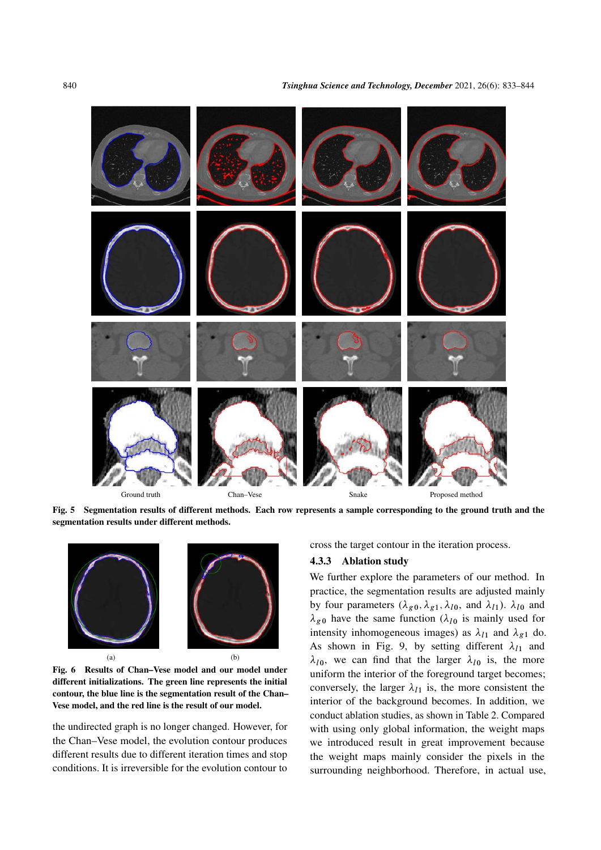

Ground truth Chan–Vese Snake Proposed method

Fig. 5 Segmentation results of different methods. Each row represents a sample corresponding to the ground truth and the segmentation results under different methods.



Fig. 6 Results of Chan–Vese model and our model under different initializations. The green line represents the initial contour, the blue line is the segmentation result of the Chan– Vese model, and the red line is the result of our model.

the undirected graph is no longer changed. However, for the Chan–Vese model, the evolution contour produces different results due to different iteration times and stop conditions. It is irreversible for the evolution contour to cross the target contour in the iteration process.

#### 4.3.3 Ablation study

We further explore the parameters of our method. In practice, the segmentation results are adjusted mainly by four parameters  $(\lambda_{g0}, \lambda_{g1}, \lambda_{l0}, \text{ and } \lambda_{l1})$ .  $\lambda_{l0}$  and  $\lambda_{g0}$  have the same function ( $\lambda_{l0}$  is mainly used for intensity inhomogeneous images) as  $\lambda_{l1}$  and  $\lambda_{g1}$  do. As shown in Fig. 9, by setting different  $\lambda_{11}$  and  $\lambda_{l0}$ , we can find that the larger  $\lambda_{l0}$  is, the more uniform the interior of the foreground target becomes; conversely, the larger  $\lambda_{11}$  is, the more consistent the interior of the background becomes. In addition, we conduct ablation studies, as shown in Table 2. Compared with using only global information, the weight maps we introduced result in great improvement because the weight maps mainly consider the pixels in the surrounding neighborhood. Therefore, in actual use,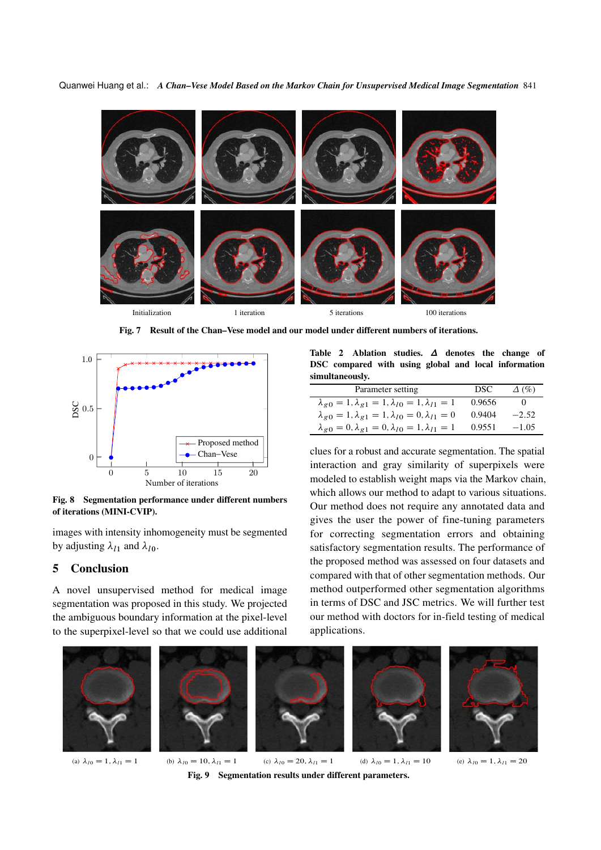

Fig. 7 Result of the Chan–Vese model and our model under different numbers of iterations.



Fig. 8 Segmentation performance under different numbers of iterations (MINI-CVIP).

images with intensity inhomogeneity must be segmented by adjusting  $\lambda_{l1}$  and  $\lambda_{l0}$ .

## 5 Conclusion

A novel unsupervised method for medical image segmentation was proposed in this study. We projected the ambiguous boundary information at the pixel-level to the superpixel-level so that we could use additional

Table 2 Ablation studies.  $\Delta$  denotes the change of DSC compared with using global and local information simultaneously.

| Parameter setting                                                        | DSC.   | $\Delta$ (%) |
|--------------------------------------------------------------------------|--------|--------------|
| $\lambda_{g0} = 1, \lambda_{g1} = 1, \lambda_{l0} = 1, \lambda_{l1} = 1$ | 0.9656 |              |
| $\lambda_{g0} = 1, \lambda_{g1} = 1, \lambda_{10} = 0, \lambda_{11} = 0$ | 0.9404 | $-2.52$      |
| $\lambda_{g0} = 0, \lambda_{g1} = 0, \lambda_{l0} = 1, \lambda_{l1} = 1$ | 0.9551 | $-1.05$      |

clues for a robust and accurate segmentation. The spatial interaction and gray similarity of superpixels were modeled to establish weight maps via the Markov chain, which allows our method to adapt to various situations. Our method does not require any annotated data and gives the user the power of fine-tuning parameters for correcting segmentation errors and obtaining satisfactory segmentation results. The performance of the proposed method was assessed on four datasets and compared with that of other segmentation methods. Our method outperformed other segmentation algorithms in terms of DSC and JSC metrics. We will further test our method with doctors for in-field testing of medical applications.



(a)  $\lambda_{10} = 1, \lambda_{11} = 1$  (b)  $\lambda_{10} = 10, \lambda_{11} = 1$  (c)  $\lambda_{10} = 20, \lambda_{11} = 1$  $\sum_{i=1}^{n} a_i$ , we can find that the more can find that  $\sum_{i=1}^{n} a_i$ . Fig. 9 Segmentation results under different parameters. (d)  $\lambda_{10} = 1, \lambda_{11} = 10$  (e)  $\lambda_{10} = 1, \lambda_{11} = 20$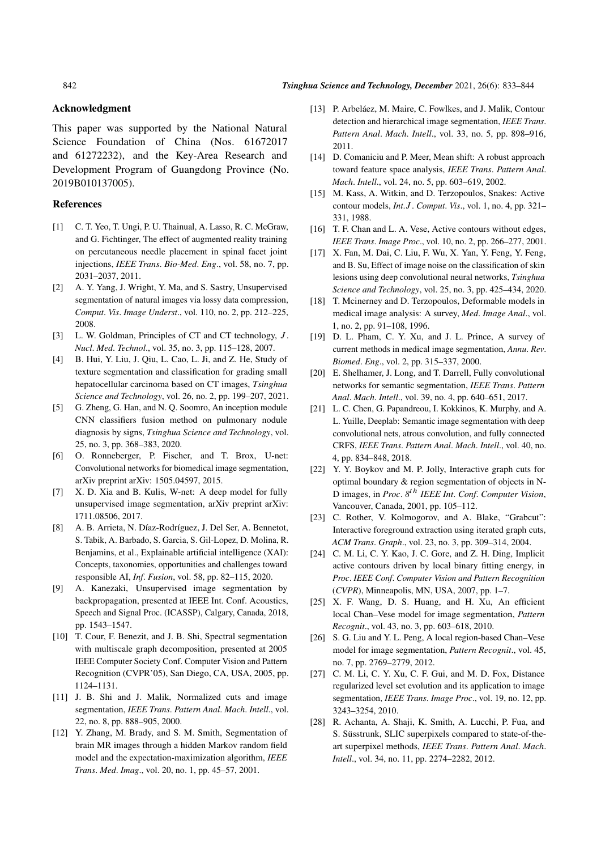#### 842 *Tsinghua Science and Technology, December* 2021, 26(6): 833–844

#### Acknowledgment

This paper was supported by the National Natural Science Foundation of China (Nos. 61672017 and 61272232), and the Key-Area Research and Development Program of Guangdong Province (No. 2019B010137005).

#### References

- [1] C. T. Yeo, T. Ungi, P. U. Thainual, A. Lasso, R. C. McGraw, and G. Fichtinger, The effect of augmented reality training on percutaneous needle placement in spinal facet joint injections, *IEEE Trans*. *Bio-Med*. *Eng*., vol. 58, no. 7, pp. 2031–2037, 2011.
- [2] A. Y. Yang, J. Wright, Y. Ma, and S. Sastry, Unsupervised segmentation of natural images via lossy data compression, *Comput*. *Vis*. *Image Underst*., vol. 110, no. 2, pp. 212–225, 2008.
- [3] L. W. Goldman, Principles of CT and CT technology, J. *Nucl*. *Med*. *Technol*., vol. 35, no. 3, pp. 115–128, 2007.
- [4] B. Hui, Y. Liu, J. Qiu, L. Cao, L. Ji, and Z. He, Study of texture segmentation and classification for grading small hepatocellular carcinoma based on CT images, *Tsinghua Science and Technology*, vol. 26, no. 2, pp. 199–207, 2021.
- [5] G. Zheng, G. Han, and N. Q. Soomro, An inception module CNN classifiers fusion method on pulmonary nodule diagnosis by signs, *Tsinghua Science and Technology*, vol. 25, no. 3, pp. 368–383, 2020.
- [6] O. Ronneberger, P. Fischer, and T. Brox, U-net: Convolutional networks for biomedical image segmentation, arXiv preprint arXiv: 1505.04597, 2015.
- [7] X. D. Xia and B. Kulis, W-net: A deep model for fully unsupervised image segmentation, arXiv preprint arXiv: 1711.08506, 2017.
- [8] A. B. Arrieta, N. Díaz-Rodríguez, J. Del Ser, A. Bennetot, S. Tabik, A. Barbado, S. Garcia, S. Gil-Lopez, D. Molina, R. Benjamins, et al., Explainable artificial intelligence (XAI): Concepts, taxonomies, opportunities and challenges toward responsible AI, *Inf*. *Fusion*, vol. 58, pp. 82–115, 2020.
- [9] A. Kanezaki, Unsupervised image segmentation by backpropagation, presented at IEEE Int. Conf. Acoustics, Speech and Signal Proc. (ICASSP), Calgary, Canada, 2018, pp. 1543–1547.
- [10] T. Cour, F. Benezit, and J. B. Shi, Spectral segmentation with multiscale graph decomposition, presented at 2005 IEEE Computer Society Conf. Computer Vision and Pattern Recognition (CVPR'05), San Diego, CA, USA, 2005, pp. 1124–1131.
- [11] J. B. Shi and J. Malik, Normalized cuts and image segmentation, *IEEE Trans*. *Pattern Anal*. *Mach*. *Intell*., vol. 22, no. 8, pp. 888–905, 2000.
- [12] Y. Zhang, M. Brady, and S. M. Smith, Segmentation of brain MR images through a hidden Markov random field model and the expectation-maximization algorithm, *IEEE Trans*. *Med*. *Imag*., vol. 20, no. 1, pp. 45–57, 2001.
- [13] P. Arbeláez, M. Maire, C. Fowlkes, and J. Malik, Contour detection and hierarchical image segmentation, *IEEE Trans*. *Pattern Anal*. *Mach*. *Intell*., vol. 33, no. 5, pp. 898–916, 2011.
- [14] D. Comaniciu and P. Meer, Mean shift: A robust approach toward feature space analysis, *IEEE Trans*. *Pattern Anal*. *Mach*. *Intell*., vol. 24, no. 5, pp. 603–619, 2002.
- [15] M. Kass, A. Witkin, and D. Terzopoulos, Snakes: Active contour models, *Int*.J . *Comput*. *Vis*., vol. 1, no. 4, pp. 321– 331, 1988.
- [16] T. F. Chan and L. A. Vese, Active contours without edges, *IEEE Trans*. *Image Proc*., vol. 10, no. 2, pp. 266–277, 2001.
- [17] X. Fan, M. Dai, C. Liu, F. Wu, X. Yan, Y. Feng, Y. Feng, and B. Su, Effect of image noise on the classification of skin lesions using deep convolutional neural networks, *Tsinghua Science and Technology*, vol. 25, no. 3, pp. 425–434, 2020.
- [18] T. Mcinerney and D. Terzopoulos, Deformable models in medical image analysis: A survey, *Med*. *Image Anal*., vol. 1, no. 2, pp. 91–108, 1996.
- [19] D. L. Pham, C. Y. Xu, and J. L. Prince, A survey of current methods in medical image segmentation, *Annu*. *Rev*. *Biomed*. *Eng*., vol. 2, pp. 315–337, 2000.
- [20] E. Shelhamer, J. Long, and T. Darrell, Fully convolutional networks for semantic segmentation, *IEEE Trans*. *Pattern Anal*. *Mach*. *Intell*., vol. 39, no. 4, pp. 640–651, 2017.
- [21] L. C. Chen, G. Papandreou, I. Kokkinos, K. Murphy, and A. L. Yuille, Deeplab: Semantic image segmentation with deep convolutional nets, atrous convolution, and fully connected CRFS, *IEEE Trans*. *Pattern Anal*. *Mach*. *Intell*., vol. 40, no. 4, pp. 834–848, 2018.
- [22] Y. Y. Boykov and M. P. Jolly, Interactive graph cuts for optimal boundary & region segmentation of objects in N-D images, in *Proc*. *8* th *IEEE Int*. *Conf*. *Computer Vision*, Vancouver, Canada, 2001, pp. 105–112.
- [23] C. Rother, V. Kolmogorov, and A. Blake, "Grabcut": Interactive foreground extraction using iterated graph cuts, *ACM Trans*. *Graph*., vol. 23, no. 3, pp. 309–314, 2004.
- [24] C. M. Li, C. Y. Kao, J. C. Gore, and Z. H. Ding, Implicit active contours driven by local binary fitting energy, in *Proc*. *IEEE Conf*. *Computer Vision and Pattern Recognition* (*CVPR*), Minneapolis, MN, USA, 2007, pp. 1–7.
- [25] X. F. Wang, D. S. Huang, and H. Xu, An efficient local Chan–Vese model for image segmentation, *Pattern Recognit*., vol. 43, no. 3, pp. 603–618, 2010.
- [26] S. G. Liu and Y. L. Peng, A local region-based Chan–Vese model for image segmentation, *Pattern Recognit*., vol. 45, no. 7, pp. 2769–2779, 2012.
- [27] C. M. Li, C. Y. Xu, C. F. Gui, and M. D. Fox, Distance regularized level set evolution and its application to image segmentation, *IEEE Trans*. *Image Proc*., vol. 19, no. 12, pp. 3243–3254, 2010.
- [28] R. Achanta, A. Shaji, K. Smith, A. Lucchi, P. Fua, and S. Süsstrunk, SLIC superpixels compared to state-of-theart superpixel methods, *IEEE Trans*. *Pattern Anal*. *Mach*. *Intell*., vol. 34, no. 11, pp. 2274–2282, 2012.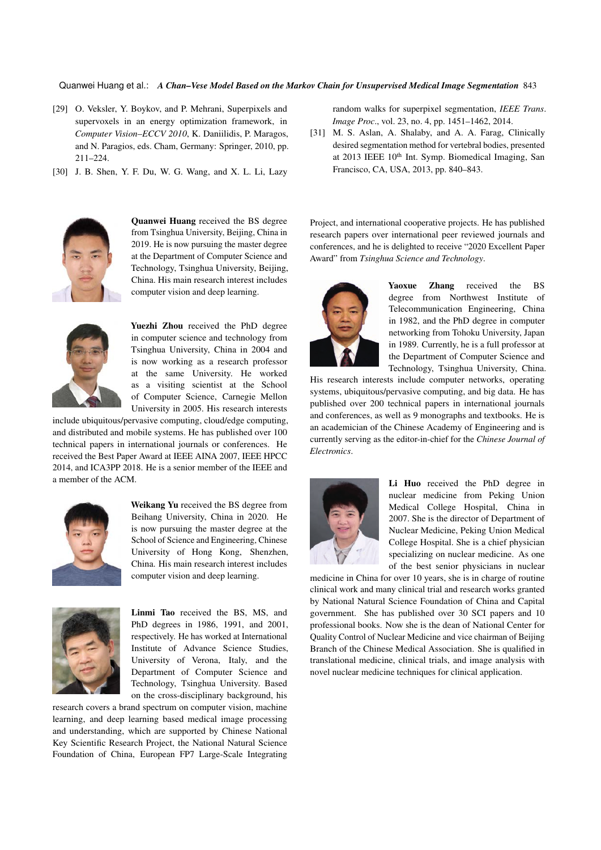- [29] O. Veksler, Y. Boykov, and P. Mehrani, Superpixels and supervoxels in an energy optimization framework, in *Computer Vision–ECCV 2010*, K. Daniilidis, P. Maragos, and N. Paragios, eds. Cham, Germany: Springer, 2010, pp. 211–224.
- [30] J. B. Shen, Y. F. Du, W. G. Wang, and X. L. Li, Lazy



Quanwei Huang received the BS degree from Tsinghua University, Beijing, China in 2019. He is now pursuing the master degree at the Department of Computer Science and Technology, Tsinghua University, Beijing, China. His main research interest includes computer vision and deep learning.



Yuezhi Zhou received the PhD degree in computer science and technology from Tsinghua University, China in 2004 and is now working as a research professor at the same University. He worked as a visiting scientist at the School of Computer Science, Carnegie Mellon University in 2005. His research interests

include ubiquitous/pervasive computing, cloud/edge computing, and distributed and mobile systems. He has published over 100 technical papers in international journals or conferences. He received the Best Paper Award at IEEE AINA 2007, IEEE HPCC 2014, and ICA3PP 2018. He is a senior member of the IEEE and a member of the ACM.



Weikang Yu received the BS degree from Beihang University, China in 2020. He is now pursuing the master degree at the School of Science and Engineering, Chinese University of Hong Kong, Shenzhen, China. His main research interest includes computer vision and deep learning.



Linmi Tao received the BS, MS, and PhD degrees in 1986, 1991, and 2001, respectively. He has worked at International Institute of Advance Science Studies, University of Verona, Italy, and the Department of Computer Science and Technology, Tsinghua University. Based on the cross-disciplinary background, his

research covers a brand spectrum on computer vision, machine learning, and deep learning based medical image processing and understanding, which are supported by Chinese National Key Scientific Research Project, the National Natural Science Foundation of China, European FP7 Large-Scale Integrating random walks for superpixel segmentation, *IEEE Trans*. *Image Proc*., vol. 23, no. 4, pp. 1451–1462, 2014.

[31] M. S. Aslan, A. Shalaby, and A. A. Farag, Clinically desired segmentation method for vertebral bodies, presented at 2013 IEEE 10<sup>th</sup> Int. Symp. Biomedical Imaging, San Francisco, CA, USA, 2013, pp. 840–843.

Project, and international cooperative projects. He has published research papers over international peer reviewed journals and conferences, and he is delighted to receive "2020 Excellent Paper Award" from *Tsinghua Science and Technology*.



Yaoxue Zhang received the BS degree from Northwest Institute of Telecommunication Engineering, China in 1982, and the PhD degree in computer networking from Tohoku University, Japan in 1989. Currently, he is a full professor at the Department of Computer Science and Technology, Tsinghua University, China.

His research interests include computer networks, operating systems, ubiquitous/pervasive computing, and big data. He has published over 200 technical papers in international journals and conferences, as well as 9 monographs and textbooks. He is an academician of the Chinese Academy of Engineering and is currently serving as the editor-in-chief for the *Chinese Journal of Electronics*.



Li Huo received the PhD degree in nuclear medicine from Peking Union Medical College Hospital, China in 2007. She is the director of Department of Nuclear Medicine, Peking Union Medical College Hospital. She is a chief physician specializing on nuclear medicine. As one of the best senior physicians in nuclear

medicine in China for over 10 years, she is in charge of routine clinical work and many clinical trial and research works granted by National Natural Science Foundation of China and Capital government. She has published over 30 SCI papers and 10 professional books. Now she is the dean of National Center for Quality Control of Nuclear Medicine and vice chairman of Beijing Branch of the Chinese Medical Association. She is qualified in translational medicine, clinical trials, and image analysis with novel nuclear medicine techniques for clinical application.